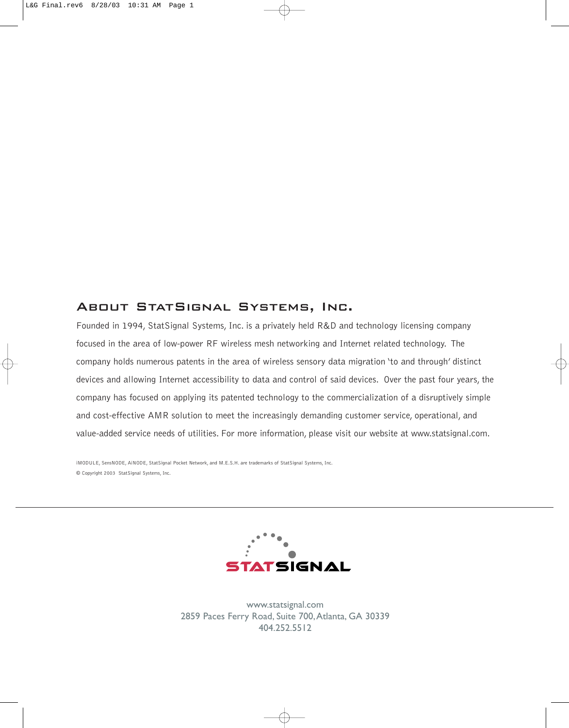### About StatSignal Systems, Inc.

Founded in 1994, StatSignal Systems, Inc. is a privately held R&D and technology licensing company focused in the area of low-power RF wireless mesh networking and Internet related technology. The company holds numerous patents in the area of wireless sensory data migration 'to and through' distinct devices and allowing Internet accessibility to data and control of said devices. Over the past four years, the company has focused on applying its patented technology to the commercialization of a disruptively simple and cost-effective AMR solution to meet the increasingly demanding customer service, operational, and value-added service needs of utilities. For more information, please visit our website at www.statsignal.com.

iMODULE, SensNODE, AiNODE, StatSignal Pocket Network, and M.E.S.H. are trademarks of StatSignal Systems, Inc. © Copyright 2003 StatSignal Systems, Inc.



www.statsignal.com 2859 Paces Ferry Road, Suite 700,Atlanta, GA 30339 404.252.5512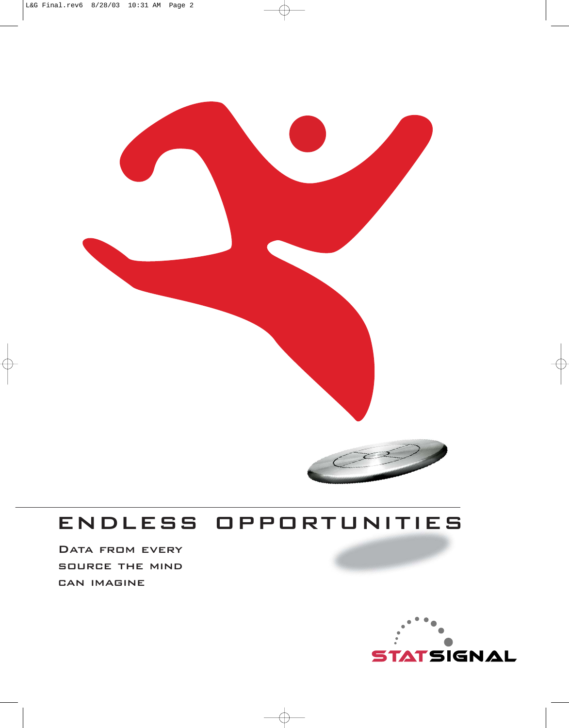

## endless opportunities

DATA FROM EVERY source the mind can imagine

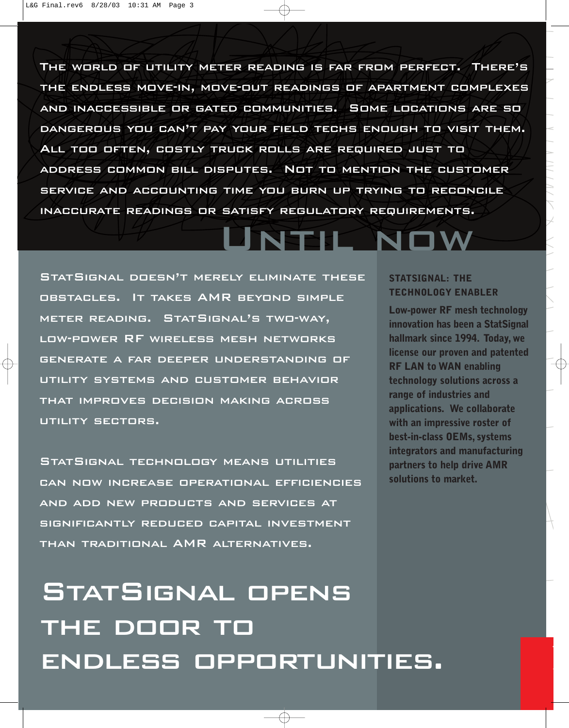The world of utility meter reading is far from perfect. There's the endless move-in, move-out readings of apartment complexes and inaccessible or gated communities. Some locations are so dangerous you can't pay your field techs enough to visit them. All too often, costly truck rolls are required just to address common bill disputes. Not to mention the customer service and accounting time you burn up trying to reconcile inaccurate readings or satisfy regulatory requirements.

## Until now

StatSignal doesn't merely eliminate these obstacles. It takes AMR beyond simple meter reading. StatSignal's two-way, low-power RF wireless mesh networksgenerate a far deeper understanding of utility systems and customer behavior that improves decision making acrossutility sectors.

StatSignal technology means utilities can now increase operational efficiencies and add new products and services at significantly reduced capital investment than traditional AMR alternatives.

# StatSignal opens the door to endless opportunities.

#### **STATSIGNAL: THE TECHNOLOGY ENABLER**

**Low-power RF mesh technology innovation has been a StatSignal hallmark since 1994. Today, we license our proven and patented RF LAN to WAN enabling technology solutions across a range of industries and applications. We collaborate with an impressive roster of best-in-class OEMs, systems integrators and manufacturing partners to help drive AMR solutions to market.**

T

a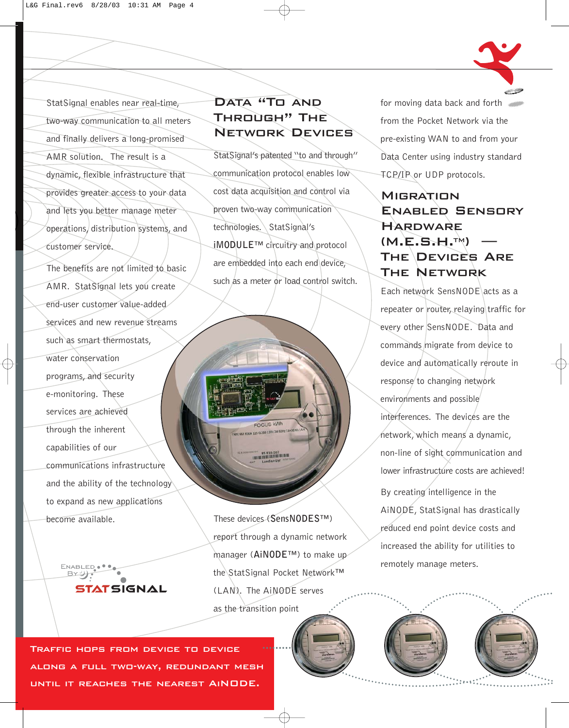StatSignal enables near real-time, two-way communication to all meters and finally delivers a long-promised AMR solution. The result is a dynamic, flexible infrastructure that provides greater access to your data and lets you better manage meter operations, distribution systems, and customer service.

The benefits are not limited to basic AMR. StatSignal lets you create end-user customer value-added services and new revenue streams such as smart thermostats, water conservation programs, and security e-monitoring. These services are achieved through the inherent capabilities of our communications infrastructure and the ability of the technology to expand as new applications become available.

> **ENABLEI**  $\mathbb{R}$ y:



StatSignal's patented "to and through" communication protocol enables low cost data acquisition and control via proven two-way communication technologies. StatSignal's **iMODULE**™ circuitry and protocol are embedded into each end device, such as a meter or load control switch.

These devices (**SensNODES**™) report through a dynamic network manager (**AiNODE**™) to make up the StatSignal Pocket Network™ (LAN). The AiNODE serves as the transition point

FOCUS KWh

for moving data back and forth from the Pocket Network via the pre-existing WAN to and from your Data Center using industry standard TCP/IP or UDP protocols.

### **MIGRATION** Enabled Sensory**HARDWARE** (M.E.S.H.TM) —**THE DEVICES ARE** THE NETWORK

Each network SensNODE acts as a repeater or router, relaying traffic for every other SensNODE. Data and commands migrate from device to device and automatically reroute in response to changing network environments and possible interferences. The devices are the network, which means a dynamic, non-line of sight communication and lower infrastructure costs are achieved! By creating intelligence in the AiNODE, StatSignal has drastically reduced end point device costs and increased the ability for utilities to remotely manage meters.

Traffic hops from device to device along a full two-way, redundant mesh until it reaches the nearest AiNODE.

STATSIGNAL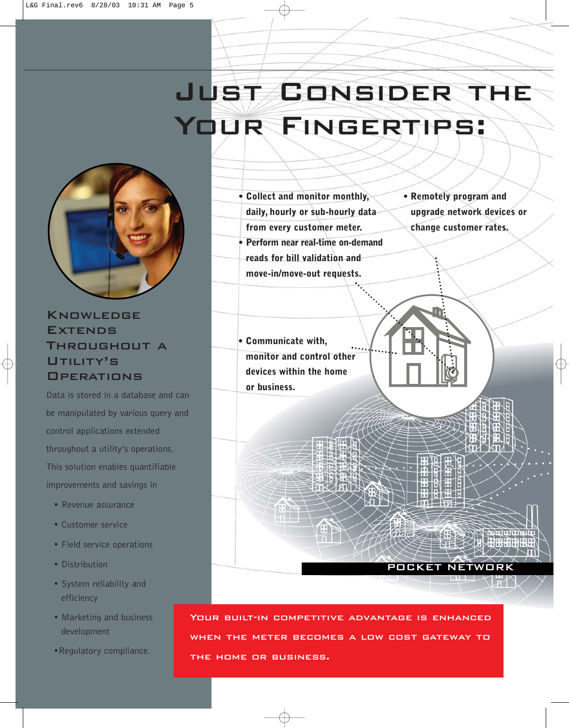# Just Consider the YOUR FINGERTIPS:



### Knowledge **EXTENDS** Throughout a UTILITY'S **OPERATIONS**

Data is stored in a database and can be manipulated by various query and control applications extended throughout a utility's operations. This solution enables quantifiable improvements and savings in

- Revenue assurance
- Customer service
- Field service operations
- Distribution
- System reliability and efficiency
- Marketing and business development
- •Regulatory compliance.

**• Collect and monitor monthly, daily, hourly or sub-hourly data from every customer meter. • Perform near real-time on-demand**

**reads for bill validation and move-in/move-out requests.** **• Remotely program and upgrade network devices or change customer rates.**

POCKET NETWORK

**HARROR SHE** 

**• Communicate with, monitor and control other devices within the home or business.**

Your built-in competitive advantage is enhanced when the meter becomes a low cost gateway to the home or business.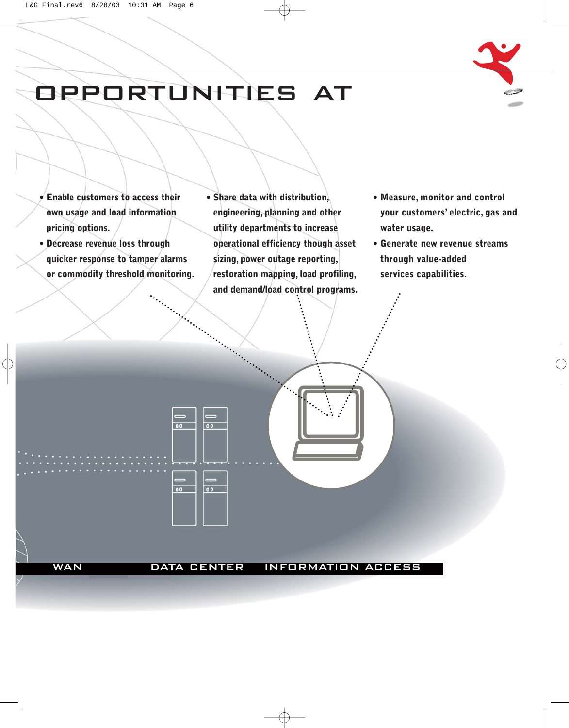

# opportunities at

 $00$ 

 $00$ 

 $\overline{\circ}$ 

 $00$ 

- **Enable customers to access their own usage and load information pricing options.**
- **Decrease revenue loss through quicker response to tamper alarms or commodity threshold monitoring.**
- **Share data with distribution, engineering, planning and other utility departments to increase operational efficiency though asset sizing, power outage reporting, restoration mapping, load profiling, and demand/load control programs.**
- **Measure, monitor and control your customers' electric, gas and water usage.**
- **Generate new revenue streams through value-added services capabilities.**

WAN DATA CENTER INFORMATION ACCESS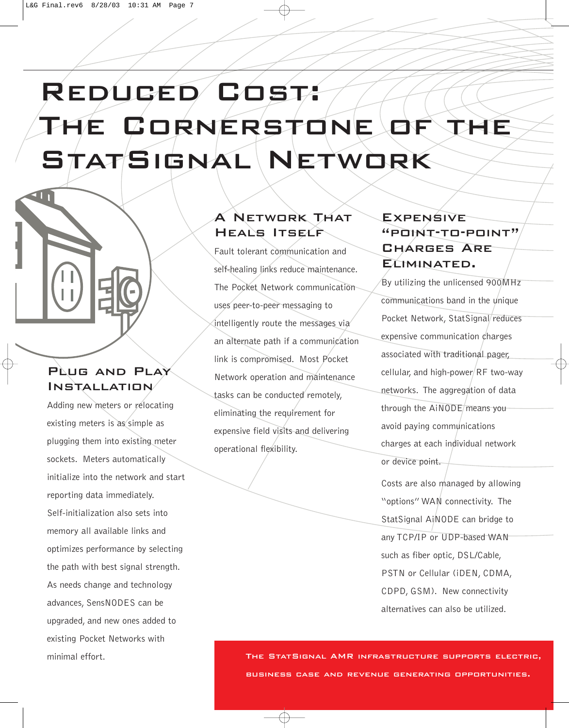# Reduced Cost: The Cornerstone of the STATSIGNAL NETWORK

### PLUG AND PLAY Installation

Adding new meters or relocating existing meters is as simple as plugging them into existing meter sockets. Meters automatically initialize into the network and start reporting data immediately. Self-initialization also sets into memory all available links and optimizes performance by selecting the path with best signal strength. As needs change and technology advances, SensNODES can be upgraded, and new ones added to existing Pocket Networks with minimal effort.

### A Network That Heals Itself

Fault tolerant communication and self-healing links reduce maintenance. The Pocket Network communication uses peer-to-peer messaging to intelligently route the messages via an alternate path if a communication link is compromised. Most Pocket Network operation and maintenance tasks can be conducted remotely, eliminating the requirement for expensive field visits and delivering operational flexibility.

### **EXPENSIVE** "point-to-point"CHARGES ARE ELIMINATED.

By utilizing the unlicensed 900MHz communications band in the unique Pocket Network, StatSignal/reduces expensive communication charges associated with traditional pager, cellular, and high-power RF two-way networks. The aggregation of data through the AINODE means you avoid paying communications charges at each individual network or device point.

Costs are also managed by allowing "options" WAN connectivity. The StatSignal AiNODE can bridge to any TCP/IP or UDP-based WAN such as fiber optic, DSL/Cable, PSTN or Cellular (iDEN, CDMA, CDPD, GSM). New connectivity alternatives can also be utilized.

The StatSignal AMR infrastructure supports electric, business case and revenue generating opportunities.